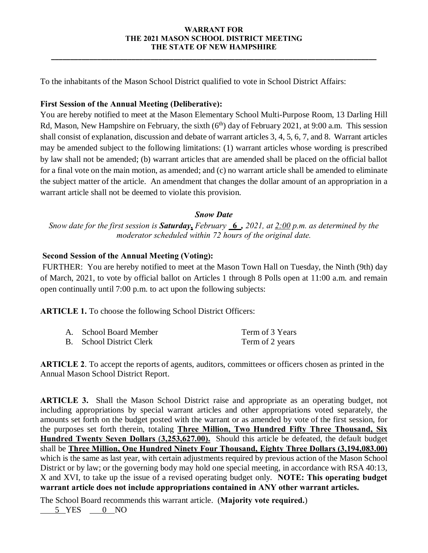### **WARRANT FOR THE 2021 MASON SCHOOL DISTRICT MEETING THE STATE OF NEW HAMPSHIRE**

**\_\_\_\_\_\_\_\_\_\_\_\_\_\_\_\_\_\_\_\_\_\_\_\_\_\_\_\_\_\_\_\_\_\_\_\_\_\_\_\_\_\_\_\_\_\_\_\_\_\_\_\_\_\_\_\_\_\_\_\_\_\_\_\_\_\_\_\_\_\_\_\_\_\_\_\_\_\_\_\_\_\_\_\_\_**

To the inhabitants of the Mason School District qualified to vote in School District Affairs:

## **First Session of the Annual Meeting (Deliberative):**

You are hereby notified to meet at the Mason Elementary School Multi-Purpose Room, 13 Darling Hill Rd, Mason, New Hampshire on February, the sixth  $(6<sup>th</sup>)$  day of February 2021, at 9:00 a.m. This session shall consist of explanation, discussion and debate of warrant articles 3, 4, 5, 6, 7, and 8. Warrant articles may be amended subject to the following limitations: (1) warrant articles whose wording is prescribed by law shall not be amended; (b) warrant articles that are amended shall be placed on the official ballot for a final vote on the main motion, as amended; and (c) no warrant article shall be amended to eliminate the subject matter of the article. An amendment that changes the dollar amount of an appropriation in a warrant article shall not be deemed to violate this provision.

### *Snow Date*

*Snow date for the first session is Saturday***,** *February* **\_6\_***, 2021, at 2:00 p.m. as determined by the moderator scheduled within 72 hours of the original date.*

# **Second Session of the Annual Meeting (Voting):**

FURTHER: You are hereby notified to meet at the Mason Town Hall on Tuesday, the Ninth (9th) day of March, 2021, to vote by official ballot on Articles 1 through 8 Polls open at 11:00 a.m. and remain open continually until 7:00 p.m. to act upon the following subjects:

**ARTICLE 1.** To choose the following School District Officers:

| A. School Board Member   | Term of 3 Years |
|--------------------------|-----------------|
| B. School District Clerk | Term of 2 years |

**ARTICLE 2**. To accept the reports of agents, auditors, committees or officers chosen as printed in the Annual Mason School District Report.

**ARTICLE 3.** Shall the Mason School District raise and appropriate as an operating budget, not including appropriations by special warrant articles and other appropriations voted separately, the amounts set forth on the budget posted with the warrant or as amended by vote of the first session, for the purposes set forth therein, totaling **Three Million, Two Hundred Fifty Three Thousand, Six Hundred Twenty Seven Dollars** (**3,253,627.00).** Should this article be defeated, the default budget shall be **Three Million, One Hundred Ninety Four Thousand, Eighty Three Dollars (3,194,083.00)**  which is the same as last year, with certain adjustments required by previous action of the Mason School District or by law; or the governing body may hold one special meeting, in accordance with RSA 40:13, X and XVI, to take up the issue of a revised operating budget only. **NOTE: This operating budget warrant article does not include appropriations contained in ANY other warrant articles.** 

The School Board recommends this warrant article. (**Majority vote required.**)

5 YES 0 NO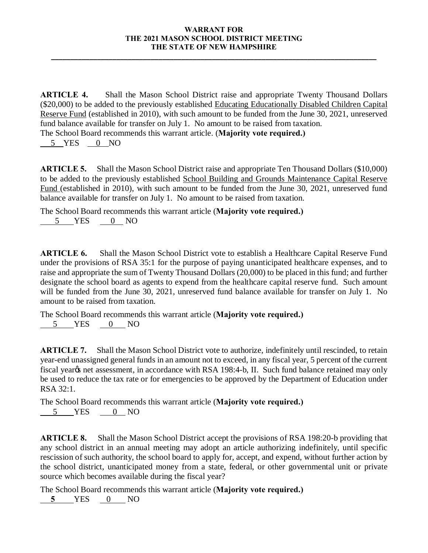### **WARRANT FOR THE 2021 MASON SCHOOL DISTRICT MEETING THE STATE OF NEW HAMPSHIRE**

**\_\_\_\_\_\_\_\_\_\_\_\_\_\_\_\_\_\_\_\_\_\_\_\_\_\_\_\_\_\_\_\_\_\_\_\_\_\_\_\_\_\_\_\_\_\_\_\_\_\_\_\_\_\_\_\_\_\_\_\_\_\_\_\_\_\_\_\_\_\_\_\_\_\_\_\_\_\_\_\_\_\_\_\_\_**

**ARTICLE 4.** Shall the Mason School District raise and appropriate Twenty Thousand Dollars (\$20,000) to be added to the previously established Educating Educationally Disabled Children Capital Reserve Fund (established in 2010), with such amount to be funded from the June 30, 2021, unreserved fund balance available for transfer on July 1. No amount to be raised from taxation. The School Board recommends this warrant article. (**Majority vote required.)**

5YES 0 NO

**ARTICLE 5.** Shall the Mason School District raise and appropriate Ten Thousand Dollars (\$10,000) to be added to the previously established School Building and Grounds Maintenance Capital Reserve Fund (established in 2010), with such amount to be funded from the June 30, 2021, unreserved fund balance available for transfer on July 1. No amount to be raised from taxation.

The School Board recommends this warrant article (**Majority vote required.)** 5 YES 0 NO

**ARTICLE 6.** Shall the Mason School District vote to establish a Healthcare Capital Reserve Fund under the provisions of RSA 35:1 for the purpose of paying unanticipated healthcare expenses, and to raise and appropriate the sum of Twenty Thousand Dollars (20,000) to be placed in this fund; and further designate the school board as agents to expend from the healthcare capital reserve fund. Such amount will be funded from the June 30, 2021, unreserved fund balance available for transfer on July 1. No amount to be raised from taxation.

The School Board recommends this warrant article (**Majority vote required.)** 5 YES 0 NO

**ARTICLE 7.** Shall the Mason School District vote to authorize, indefinitely until rescinded, to retain year-end unassigned general funds in an amount not to exceed, in any fiscal year, 5 percent of the current fiscal year% net assessment, in accordance with RSA 198:4-b, II. Such fund balance retained may only be used to reduce the tax rate or for emergencies to be approved by the Department of Education under RSA 32:1.

The School Board recommends this warrant article (**Majority vote required.)** 5 YES 0 NO

**ARTICLE 8.** Shall the Mason School District accept the provisions of RSA 198:20-b providing that any school district in an annual meeting may adopt an article authorizing indefinitely, until specific rescission of such authority, the school board to apply for, accept, and expend, without further action by the school district, unanticipated money from a state, federal, or other governmental unit or private source which becomes available during the fiscal year?

The School Board recommends this warrant article (**Majority vote required.)**

 **5** YES 0 NO